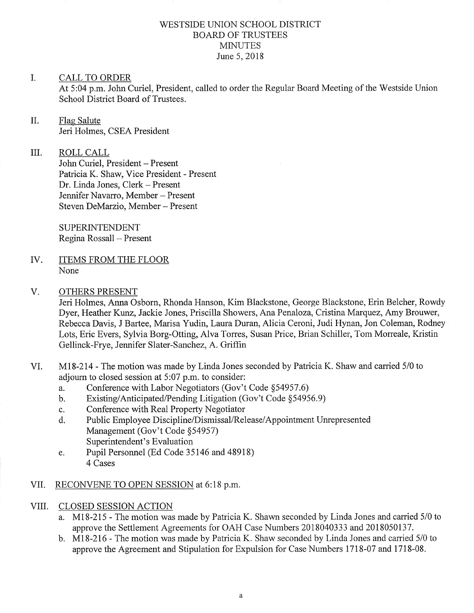### WESTSIDE UNION SCHOOL DISTRICT BOARD OF TRUSTEES MINUTES June 5, 2018

#### I CALL TO ORDER

m.

At 5:04 p.m. John Curiel, President, called to order the Regular Board Meeting of the Westside Union School District Board of Trustees.

### II. Flag Salute Jeri Holmes, CSEA President

ROLL CALL John Curiel, President - Present Patricia K. Shaw, Vice President - Present Dr. Linda Jones, Clerk - Present Jennifer Navarro, Member - Present Steven DeMarzio, Member - Present

SUPERINTENDENT Regina Rossall - Present

- ITEMS FROM THE FLOOR None IV
- OTHERS PRESENT V.

Jeri Holmes, Anna Osborn, Rhonda Hanson, Kim Blackstone, George Blackstone, Erin Belcher, Rowdy Dyer, Heather Kunz, Jackie Jones, Priscilla Showers, Ana Penaloza, Cristina Marquez, Amy Brouwer, Rebecca Davis, J Bartee, Marisa Yudin, Laura Duran, Alicia Ceroni, Judi Hynan, Jon Coleman, Rodney Lots, Eric Evers, Sylvia Borg-Otting, Alva Torres, Susan Price, Brian Schiller, Tom Morreale, Kristin Gellinck-Frye, Jennifer Slater-Sanchez, A. Griffin

- VI. M18-214 The motion was made by Linda Jones seconded by Patricia K. Shaw and carried 5/0 to adjoum to closed session at 5:07 p.m. to consider:
	-
	- a. Conference with Labor Negotiators (Gov't Code §54957.6)<br>b. Existing/Anticipated/Pending Litigation (Gov't Code §54956.9)<br>c. Conference with Real Property Negotiator
	-
	- c. Conference with Real Property Negotiator<br>d. Public Employee Discipline/Dismissal/Release/Appointment Unrepresented Management (Gov't Code \$54957) Superintendent's Evaluation
	- e. Pupil Personnel (Ed Code 35146 and 48918) 4 Cases
- VII. RECONVENE TO OPEN SESSION at 6:18 p.m.
- VIII. CLOSED SESSION ACTION
	- a. M18-215 The motion was made by Patricia K. Shawn seconded by Linda Jones and carried 510 to approve the Settlement Agreements for OAH Case Numbers 2018040333 and 2018050137.
	- b. Ml8-216 The motion was made by Patricia K. Shaw seconded by Linda Jones and carried 5/0 to approve the Agreement and Stipulation for Expulsion for Case Numbers 1718-07 and 1718-08.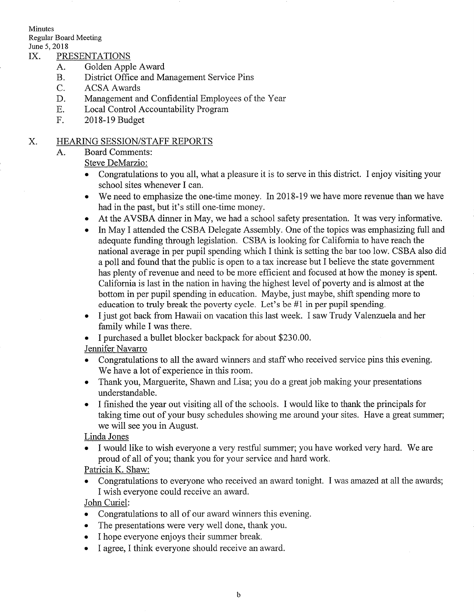Minutes

Regular Board Meeting

# June 5, 2018<br>IX. PRESENTATIONS

- A. Golden Apple Award
- B. District Office and Management Service Pins
- C. ACSA Awards
- D. Management and Confidential Employees of the Year
- E. Local Control Accountability Program
- F. 2018-19 Budget

#### HEARING SESSION/STAFF REPORTS X.

A. Board Comments:

Steve DeMarzio:

- . Congratulations to you all, what a pleasure it is to serve in this district. I enjoy visiting your school sites whenever I can.
- We need to emphasize the one-time money. In 2018-19 we have more revenue than we have had in the past, but it's still one-time money.
- o At the AVSBA dinner in May, we had a school safety presentation. It was very informative.
- In May I attended the CSBA Delegate Assembly. One of the topics was emphasizing full and adequate funding through legislation. CSBA is looking for California to have reach the national average in per pupil spending which I think is setting the bar too low. CSBA also did <sup>a</sup>poll and found that the public is open to a tax increase but I believe the state government has plenty of revenue and need to be more efficient and focused at how the money is spent. California is last in the nation in having the highest level of poverty and is almost at the bottom in per pupil spending in education. Maybe, just maybe, shift spending more to education to truly break the poverty cycle. Let's be #1 in per pupil spending.
- I just got back from Hawaii on vacation this last week. I saw Trudy Valenzuela and her family while I was there.
- o I purchased a bullet blocker backpack for about \$230.00.

### Jennifer Navarro

- . Congratulations to all the award winners and staff who received service pins this evening. We have a lot of experience in this room.
- . Thank you, Marguerite, Shawn and Lisa; you do a great job making your presentations understandable.
- . I finished the year out visiting all of the schools. I would like to thank the principals for taking time out of your busy schedules showing me around your sites. Have a great summer; we will see you in August.

Linda Jones

. I would like to wish everyone a very restful summer; you have worked very hard. We are proud of all of you; thank you for your service and hard work.

Patricia K. Shaw:

Congratulations to everyone who received an award tonight. I was amazed at all the awards; I wish everyone could receive an award.

John Curiel:

- . Congratulations to all of our award winners this evening.
- . The presentations were very well done, thank you.
- I hope everyone enjoys their summer break.
- . I agree, I think everyone should receive an award.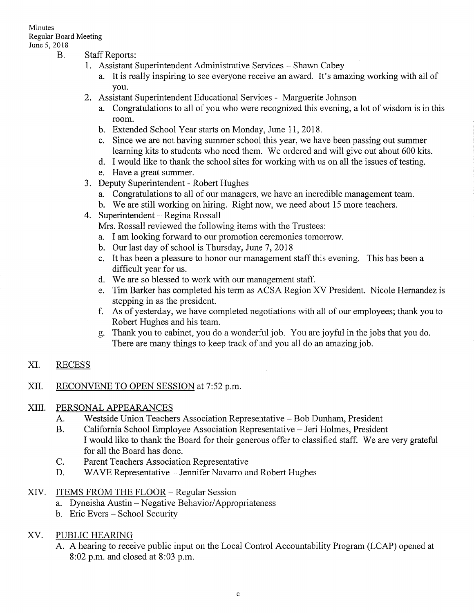# Minutes Regular Board Meeting

- June 5, 2018<br>B. Staff Reports:
	- 1. Assistant Superintendent Administrative Services Shawn Cabey
		- a. It is really inspiring to see everyone receive an award. It's amazing working with all of you.
	- 2. Assistant Superintendent Educational Services Marguerite Johnson
		- a. Congratulations to all of you who were recognized this evening, a lot of wisdom is in this room.
		- b. Extended School Year starts on Monday, June 11, 2018.
		- c. Since we are not having summer school this year, we have been passing out summer learning kits to students who need them. We ordered and will give out about 600 kits.
		- d. I would like to thank the school sites for working with us on all the issues of testing.
		- e. Have a great summer.
	- 3. Deputy Superintendent Robert Hughes
		- a. Congratulations to all of our managers, we have an incredible management team.
	- b. We are still working on hiring. Right now, we need about 15 more teachers. 4. Superintendent Regina Rossall
	-

Mrs. Rossall reviewed the following items with the Trustees:

- a. I am looking forward to our promotion ceremonies tomorrow.<br>b. Our last day of school is Thursday, June 7, 2018
- 
- c. It has been a pleasure to honor our management staff this evening. This has been a difficult year for us.
- d. We are so blessed to work with our management staff.
- e. Tim Barker has completed his term as ACSA Region XV President. Nicole Hemandez is
- f. As of yesterday, we have completed negotiations with all of our employees; thank you to Robert Hughes and his team.

 $\Delta \sim 10^{11}$  and  $\Delta \sim 10^{11}$ 

g. Thank you to cabinet, you do a wonderful job. You are joyful in the jobs that you do. There are many things to keep track of and you all do an amazing job.

#### RECESS XI.

#### RECONVENE TO OPEN SESSION at 7:52 p.m. XII.

#### PERSONAL APPEARANCES XIII.

- Westside Union Teachers Association Representative Bob Dunham, President A.
- California School Employee Association Representative Jeri Holmes, President I would like to thank the Board for their generous offer to classified staff. We are very grateful for all the Board has done. B.
- Parent Teachers Association Representative C.
- WAVE Representative Jennifer Navarro and Robert Hughes D.
- XIV. ITEMS FROM THE FLOOR Regular Session
	- a. Dyneisha Austin Negative Behavior/Appropriateness b. Eric Evers School Security
	-

#### PUBLIC HEARING XV

A. A hearing to receive public input on the Local Control Accountability Program (LCAP) opened at 8:02 p.m. and closed at 8:03 p.m.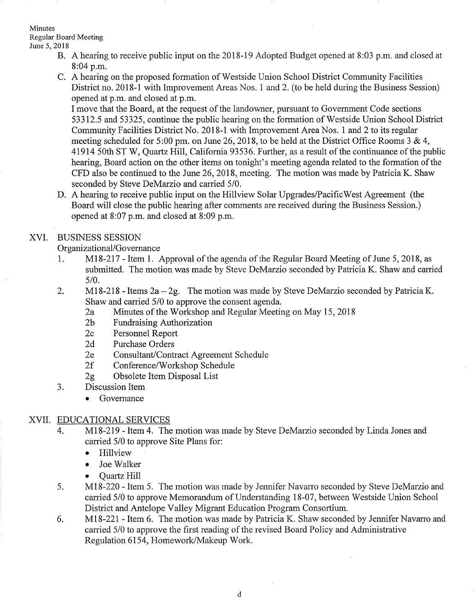### Minutes

Regular Board Meeting June 5,2018

- B. A hearing to receive public input on the 2018-19 Adopted Budget opened at 8:03 p.m. and closed at 8:04 p.m.
- C. A hearing on the proposed formation of Westside Union School District Community Facilities District no. 2018-1 with Improvement Areas Nos. 1 and 2. (to be held during the Business Session) opened at p.m. and closed at p.m.

I move that the Board, at the request of the landowner, pursuant to Government Code sections 53312.5 and 53325, continue the public hearing on the formation of Westside Union School District Community Facilities District No. 2018-1 with Improvement Area Nos. 1 and 2 to its regular meeting scheduled for 5:00 pm. on June 26, 2018, to be held at the District Office Rooms 3 & 4, 41914 50th ST W, Quartz Hill, California93536. Further, as a result of the continuance of the public hearing, Board action on the other items on tonight's meeting agenda related to the formation of the CFD also be continued to the June26,2018, meeting. The motion was made by Patricia K. Shaw seconded by Steve DeMarzio and carried 5/0.

D. A hearing to receive public input on the Hillview Solar Upgrades/PacificWest Agreement (the Board will close the public hearing after comments are received during the Business Session.) opened at8:07 p.m. and closed at 8:09 p.m.

# XVI. BUSINESS SESSION

Organizational/Governance

- 1. Ml8-2I7 Item 1. Approval of the agenda of the Regular Board Meeting of June 5,2018, as submitted. The motion was made by Steve DeMarzio seconded by Patricia K. Shaw and carried  $5/0.$
- 2. M18-218 Items  $2a-2g$ . The motion was made by Steve DeMarzio seconded by Patricia K. Shaw and carried 5/0 to approve the consent agenda.
	- 2a Minutes of the Workshop and Regular Meeting on May 15, 2018<br>2b Fundraising Authorization
	-
	- 2c Personnel Report 2d Purchase Orders
	-
	- 2e Consultant/Contract Agreement Schedule<br>2f Conference/Workshop Schedule
	-
	- 29 Obsolete Item Disposal List
- 3. Discussion Item
	- Governance

# XVII. EDUCATIONAL SERVICES

- 4. Ml8-219 Item 4. The motion was made by Steve DeMarzio seconded by Linda Jones and carried 5/0 to approve Site Plans for:
	- . Hillview
	- Joe Walker
	-
- Quartz Hill Cuartz Hill 5. The motion was made by Jennifer Navarro seconded by Steve DeMarzio and carried 5/0 to approve Memorandum of Understanding 18-07, between Westside Union School District and Antelope Valley Migrant Education Program Consortium.
- 6. M18-221 Item 6. The motion was made by Patricia K. Shaw seconded by Jennifer Navarro and carried 5/0 to approve the first reading of the revised Board Policy and Administrative Regulation 61 54, Homework/Makeup Work.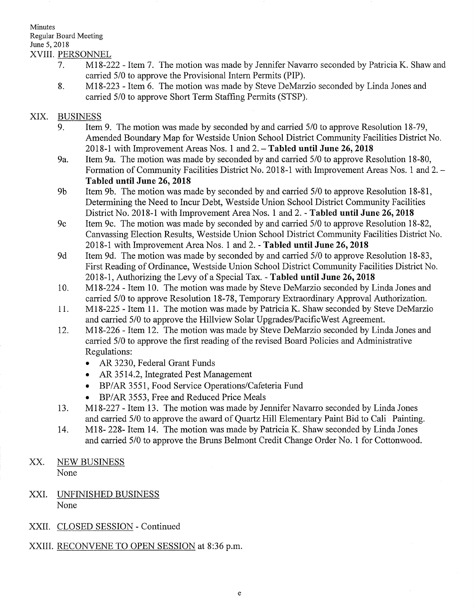### Minutes Regular Board Meeting June 5,2018 XVIiI. PERSONNEL

- 7. MI8-222 Item 7. The motion was made by Jennifer Navarro seconded by Patricia K. Shaw and carried 5/0 to approve the Provisional Intern Permits (PIP).
- 8. Ml8-223 Item 6. The motion was made by Steve DeMarzio seconded by Linda Jones and carried 5/0 to approve Short Term Staffrng Permits (STSP).

### XIX. BUSINESS

- Item 9. The motion was made by seconded by and carried 5/0 to approve Resolution 18-79, Amended Boundary Map for Westside Union School District Community Facilities District No. 2018-1 with Improvement Areas Nos. 1 and  $2. -$  Tabled until June 26, 2018 9.
- 9a. Item 9a. The motion was made by seconded by and carried 5/0 to approve Resolution 18-80, Formation of Community Facilities District No. 2018-1 with Improvement Areas Nos. 1 and 2. -Tabled until June 26,2018
- Item 9b. The motion was made by seconded by and carried 5/0 to approve Resolution 18-81, Determining the Need to Incur Debt, Westside Union School District Community Facilities District No. 2018-1 with Improvement Area Nos. 1 and 2. - Tabled until June 26, 2018 9b
- Item 9c. The motion was made by seconded by and carried 5/0 to approve Resolution 18-82, Canvassing Election Results, Westside Union School District Community Facilities District No. 2018-1 with Improvement Area Nos. 1 and 2. - Tabled until June 26, 2018 9c
- Item 9d. The motion was made by seconded by and carried 5/0 to approve Resolution 18-83, First Reading of Ordinance, Westside Union School District Community Facilities District No. 2018-1, Authorizing the Levy of a Special Tax. - Tabled until June 26,2018 9d
- MI8-224 Item 10. The motion was made by Steve DeMarzio seconded by Linda Jones and carried 5/0 to approve Resolution 18-78, Temporary Extraordinary Approval Authorization. 10
- MI8-225 Item 11. The motion was made by Patricia K. Shaw seconded by Steve DeMarzio and carried 5/0 to approve the Hillview Solar Upgrades/PacificWest Agreement. 11
- MI8-226 Item 12. The motion was made by Steve DeMarzio seconded by Linda Jones and carried 5/0 to approve the first reading of the revised Board Policies and Administrative Regulations: I2
	- . AR 3230, Federal Grant Funds
	- AR 3514.2, Integrated Pest Management
	- o BP/AR 3551, Food Service Operations/Cafeteria Fund
	- BP/AR 3553, Free and Reduced Price Meals
- MI8-227 Item i3. The motion was made by Jennifer Navarro seconded by Linda Jones and carried 5/0 to approve the award of Quartz Hill Elementary Paint Bid to Cali Painting. 13.
- M18- 228-Item 14. The motion was made by Patricia K. Shaw seconded by Linda Jones and carried 5/0 to approve the Bruns Belmont Credit Change Order No. 1 for Cottonwood. 14.
- XX. NEW BUSINESS None
- XXI. UNFINISHED BUSINESS None
- XXII. CLOSED SESSION Continued
- XXIII. RECONVENE TO OPEN SESSION at 8:36 p.m.